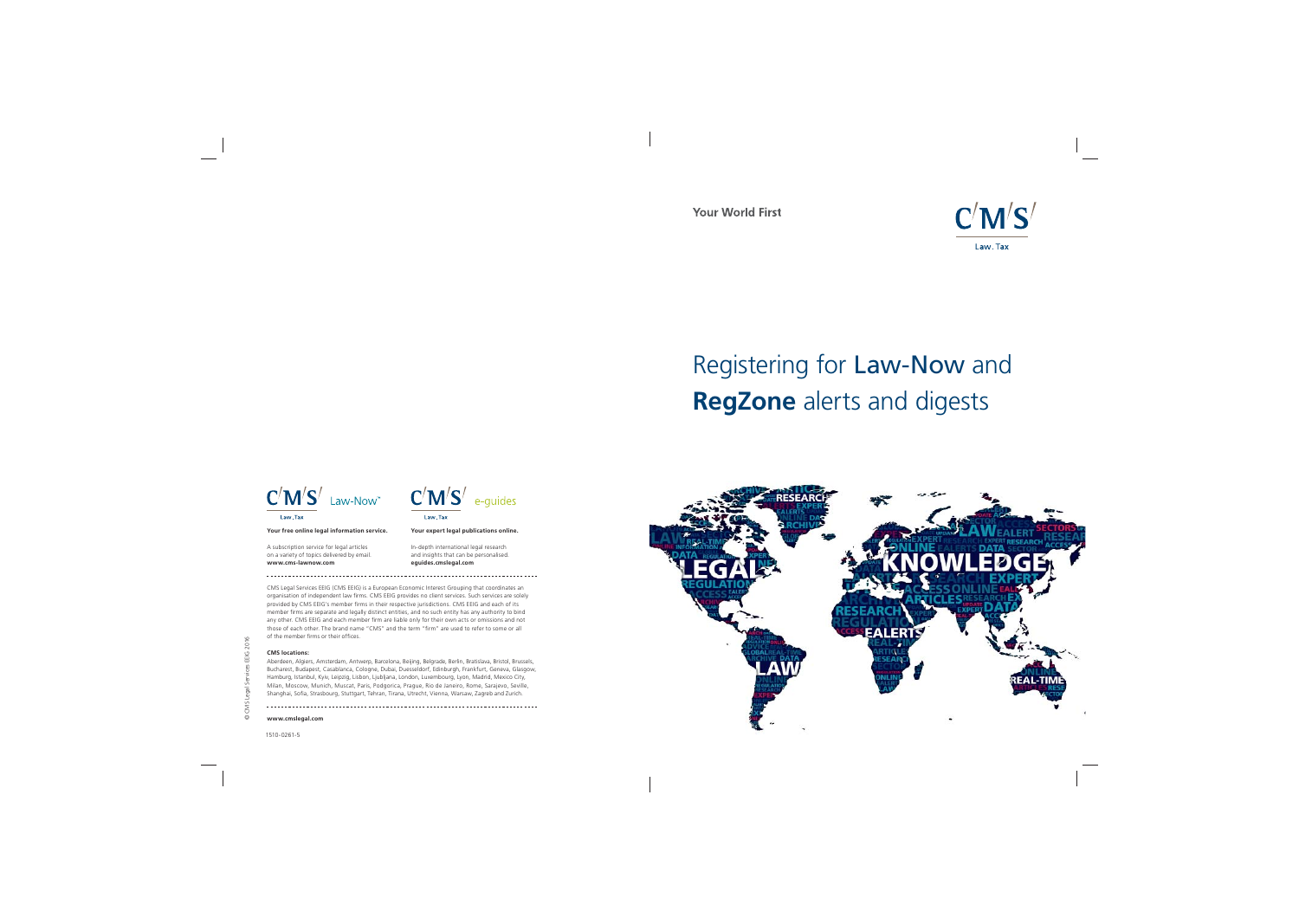1510-0261-5





CMS Legal Services EEIG (CMS EEIG) is a European Economic Interest Grouping that coordinates an organisation of independent law firms. CMS EEIG provides no client services. Such services are solely provided by CMS EEIG's member firms in their respective jurisdictions. CMS EEIG and each of its member firms are separate and legally distinct entities, and no such entity has any authority to bind any other. CMS EEIG and each member firm are liable only for their own acts or omissions and not<br>those of each other. The brand name "CMS" and the term "firm" are used to refer to some or all of the member firms or their offices.

© CMS Legal Services EEIG 2016

Aberdeen, Algiers, Amsterdam, Antwerp, Barcelona, Beijing, Belgrade, Berlin, Bratislava, Bristol, Brussels, Bucharest, Budapest, Casablanca, Cologne, Dubai, Duesseldorf, Edinburgh, Frankfurt, Geneva, Glasgow, Hamburg, Istanbul, Kyiv, Leipzig, Lisbon, Ljubljana, London, Luxembourg, Lyon, Madrid, Mexico City, Milan, Moscow, Munich, Muscat, Paris, Podgorica, Prague, Rio de Janeiro, Rome, Sarajevo, Seville, Shanghai, Sofia, Strasbourg, Stuttgart, Tehran, Tirana, Utrecht, Vienna, Warsaw, Zagreb and Zurich.

#### **CMS locations:**

**www.cmslegal.com**

**Your expert legal publications online.**

In-depth international legal research and insights that can be personalised. **eguides.cmslegal.com**

#### **Your free online legal information service.**

A subscription service for legal articles on a variety of topics delivered by email. **www.cms-lawnow.com**

**Your World First** 

## Registering for Law-Now and **RegZone** alerts and digests





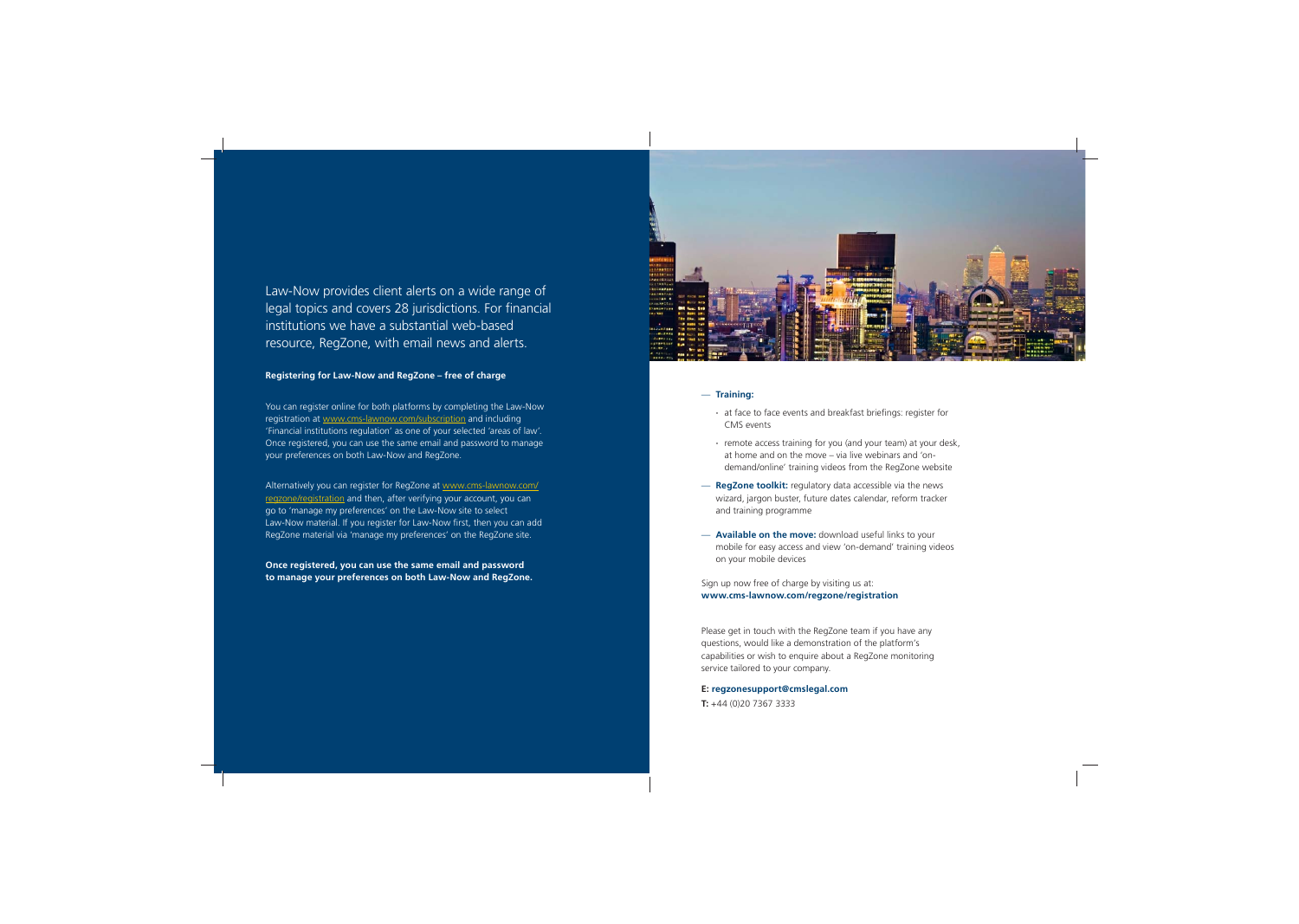## Law-Now provides client alerts on a wide range of legal topics and covers 28 jurisdictions. For financial institutions we have a substantial web-based resource, RegZone, with email news and alerts.

You can register online for both platforms by completing the Law-Now registration at www.cms-lawnow.com/subscription and including 'Financial institutions regulation' as one of your selected 'areas of law'. Once registered, you can use the same email and password to manage your preferences on both Law-Now and RegZone.

**Once registered, you can use the same email and password to manage your preferences on both Law-Now and RegZone.**



- at face to face events and breakfast briefings: register for CMS events
- **∙** remote access training for you (and your team) at your desk, at home and on the move – via live webinars and 'ondemand/online' training videos from the RegZone website
- **RegZone toolkit:** regulatory data accessible via the news wizard, jargon buster, future dates calendar, reform tracker and training programme
- **Available on the move:** download useful links to your mobile for easy access and view 'on-demand' training videos on your mobile devices

Alternatively you can register for RegZone at www.cms-lawnow.com/ regzone/registration and then, after verifying your account, you can go to 'manage my preferences' on the Law-Now site to select Law-Now material. If you register for Law-Now first, then you can add RegZone material via 'manage my preferences' on the RegZone site.

#### **Registering for Law-Now and RegZone – free of charge**

#### — **Training:**

Sign up now free of charge by visiting us at: **www.cms-lawnow.com/regzone/registration**

Please get in touch with the RegZone team if you have any questions, would like a demonstration of the platform's capabilities or wish to enquire about a RegZone monitoring service tailored to your company.

**E: regzonesupport@cmslegal.com**

**T:** +44 (0)20 7367 3333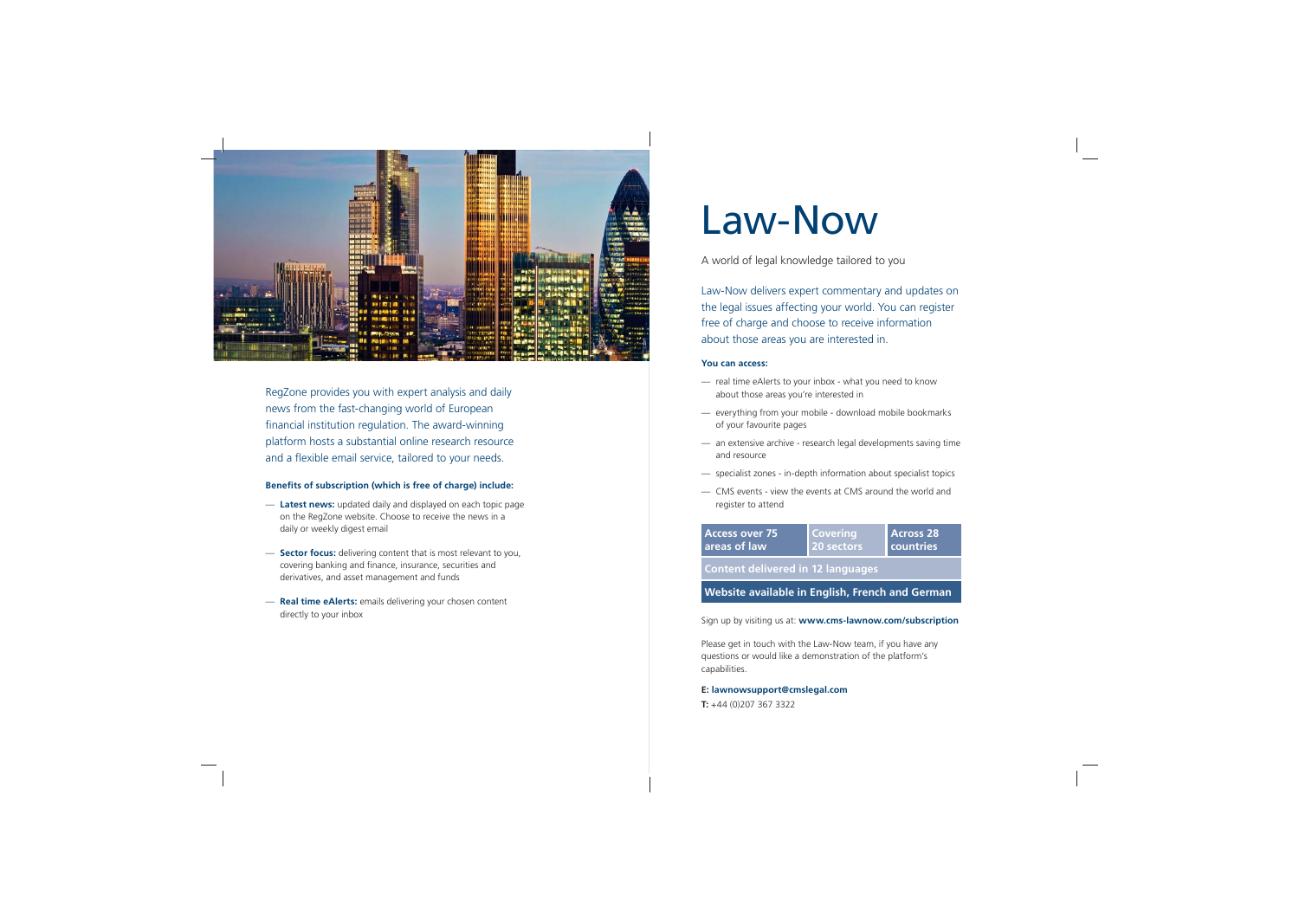

RegZone provides you with expert analysis and daily news from the fast-changing world of European financial institution regulation. The award-winning platform hosts a substantial online research resource and a flexible email service, tailored to your needs.

#### **Benefits of subscription (which is free of charge) include:**

- **Latest news:** updated daily and displayed on each topic page on the RegZone website. Choose to receive the news in a daily or weekly digest email
- **Sector focus:** delivering content that is most relevant to you, covering banking and finance, insurance, securities and derivatives, and asset management and funds
- **Real time eAlerts:** emails delivering your chosen content directly to your inbox

# Law-Now

A world of legal knowledge tailored to you

Law-Now delivers expert commentary and updates on the legal issues affecting your world. You can register free of charge and choose to receive information about those areas you are interested in.

#### **You can access:**

- real time eAlerts to your inbox what you need to know about those areas you're interested in
- everything from your mobile download mobile bookmarks of your favourite pages
- an extensive archive research legal developments saving time and resource
- specialist zones in-depth information about specialist topics
- CMS events view the events at CMS around the world and register to attend

Sign up by visiting us at: **www.cms-lawnow.com/subscription**

**Content delivered in 12 languages**

| <b>Access over 75</b> | <b>Covering</b> | <b>Across 28</b> |
|-----------------------|-----------------|------------------|
| areas of law          | 20 sectors      | countries        |
|                       |                 |                  |

### **Website available in English, French and German**

Please get in touch with the Law-Now team, if you have any questions or would like a demonstration of the platform's capabilities.

#### **E: lawnowsupport@cmslegal.com**

**T:** +44 (0)207 367 3322